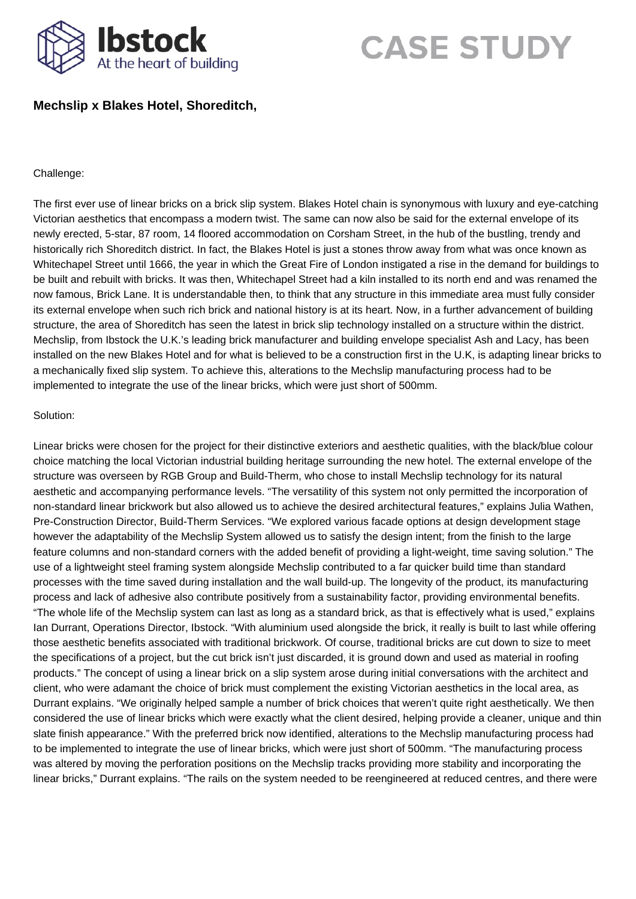

## **CASE STUDY**

## **Mechslip x Blakes Hotel, Shoreditch,**

## Challenge:

The first ever use of linear bricks on a brick slip system. Blakes Hotel chain is synonymous with luxury and eye-catching Victorian aesthetics that encompass a modern twist. The same can now also be said for the external envelope of its newly erected, 5-star, 87 room, 14 floored accommodation on Corsham Street, in the hub of the bustling, trendy and historically rich Shoreditch district. In fact, the Blakes Hotel is just a stones throw away from what was once known as Whitechapel Street until 1666, the year in which the Great Fire of London instigated a rise in the demand for buildings to be built and rebuilt with bricks. It was then, Whitechapel Street had a kiln installed to its north end and was renamed the now famous, Brick Lane. It is understandable then, to think that any structure in this immediate area must fully consider its external envelope when such rich brick and national history is at its heart. Now, in a further advancement of building structure, the area of Shoreditch has seen the latest in brick slip technology installed on a structure within the district. Mechslip, from Ibstock the U.K.'s leading brick manufacturer and building envelope specialist Ash and Lacy, has been installed on the new Blakes Hotel and for what is believed to be a construction first in the U.K, is adapting linear bricks to a mechanically fixed slip system. To achieve this, alterations to the Mechslip manufacturing process had to be implemented to integrate the use of the linear bricks, which were just short of 500mm.

## Solution:

Linear bricks were chosen for the project for their distinctive exteriors and aesthetic qualities, with the black/blue colour choice matching the local Victorian industrial building heritage surrounding the new hotel. The external envelope of the structure was overseen by RGB Group and Build-Therm, who chose to install Mechslip technology for its natural aesthetic and accompanying performance levels. "The versatility of this system not only permitted the incorporation of non-standard linear brickwork but also allowed us to achieve the desired architectural features," explains Julia Wathen, Pre-Construction Director, Build-Therm Services. "We explored various facade options at design development stage however the adaptability of the Mechslip System allowed us to satisfy the design intent; from the finish to the large feature columns and non-standard corners with the added benefit of providing a light-weight, time saving solution." The use of a lightweight steel framing system alongside Mechslip contributed to a far quicker build time than standard processes with the time saved during installation and the wall build-up. The longevity of the product, its manufacturing process and lack of adhesive also contribute positively from a sustainability factor, providing environmental benefits. "The whole life of the Mechslip system can last as long as a standard brick, as that is effectively what is used," explains Ian Durrant, Operations Director, Ibstock. "With aluminium used alongside the brick, it really is built to last while offering those aesthetic benefits associated with traditional brickwork. Of course, traditional bricks are cut down to size to meet the specifications of a project, but the cut brick isn't just discarded, it is ground down and used as material in roofing products." The concept of using a linear brick on a slip system arose during initial conversations with the architect and client, who were adamant the choice of brick must complement the existing Victorian aesthetics in the local area, as Durrant explains. "We originally helped sample a number of brick choices that weren't quite right aesthetically. We then considered the use of linear bricks which were exactly what the client desired, helping provide a cleaner, unique and thin slate finish appearance." With the preferred brick now identified, alterations to the Mechslip manufacturing process had to be implemented to integrate the use of linear bricks, which were just short of 500mm. "The manufacturing process was altered by moving the perforation positions on the Mechslip tracks providing more stability and incorporating the linear bricks," Durrant explains. "The rails on the system needed to be reengineered at reduced centres, and there were